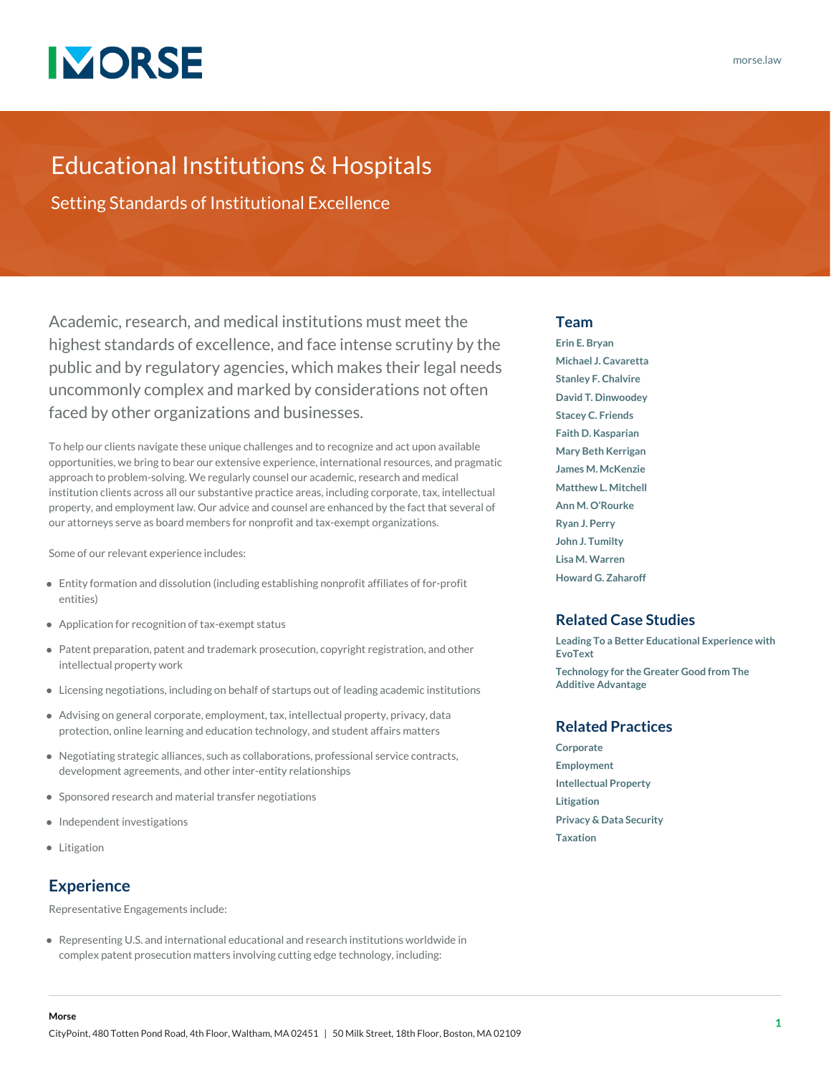

## Educational Institutions & Hospitals

Setting Standards of Institutional Excellence

Academic, research, and medical institutions must meet the highest standards of excellence, and face intense scrutiny by the public and by regulatory agencies, which makes their legal needs uncommonly complex and marked by considerations not often faced by other organizations and businesses.

To help our clients navigate these unique challenges and to recognize and act upon available opportunities, we bring to bear our extensive experience, international resources, and pragmatic approach to problem-solving. We regularly counsel our academic, research and medical institution clients across all our substantive practice areas, including corporate, tax, intellectual property, and employment law. Our advice and counsel are enhanced by the fact that several of our attorneys serve as board members for nonprofit and tax-exempt organizations.

Some of our relevant experience includes:

- Entity formation and dissolution (including establishing nonprofit affiliates of for-profit entities)
- Application for recognition of tax-exempt status
- Patent preparation, patent and trademark prosecution, copyright registration, and other intellectual property work
- Licensing negotiations, including on behalf of startups out of leading academic institutions
- Advising on general corporate, employment, tax, intellectual property, privacy, data protection, online learning and education technology, and student affairs matters
- Negotiating strategic alliances, such as collaborations, professional service contracts, development agreements, and other inter-entity relationships
- Sponsored research and material transfer negotiations
- Independent investigations
- Litigation

### **Experience**

Representative Engagements include:

Representing U.S. and international educational and research institutions worldwide in complex patent prosecution matters involving cutting edge technology, including:

#### **Team**

**[Erin E. Bryan](https://www.morse.law/attorney/erin-bryan/) [Michael J. Cavaretta](https://www.morse.law/attorney/michael-cavaretta/) [Stanley F. Chalvire](https://www.morse.law/attorney/stanley-chalvire/) [David T. Dinwoodey](https://www.morse.law/attorney/david-dinwoodey/) [Stacey C. Friends](https://www.morse.law/attorney/stacey-friends/) [Faith D. Kasparian](https://www.morse.law/attorney/faith-kasparian/) [Mary Beth Kerrigan](https://www.morse.law/attorney/mary-beth-kerrigan/) [James M. McKenzie](https://www.morse.law/attorney/james-mckenzie/) [Matthew L. Mitchell](https://www.morse.law/attorney/matthew-mitchell/) [Ann M. O'Rourke](https://www.morse.law/attorney/ann-orourke/) [Ryan J. Perry](https://www.morse.law/attorney/ryan-perry/) [John J. Tumilty](https://www.morse.law/attorney/john-tumilty/) [Lisa M. Warren](https://www.morse.law/attorney/lisa-warren/) [Howard G. Zaharoff](https://www.morse.law/attorney/howard-zaharoff/)**

#### **Related Case Studies**

**[Leading To a Better Educational Experience with](https://www.morse.law/case_study/evotext/) [EvoText](https://www.morse.law/case_study/evotext/) [Technology for the Greater Good from The](https://www.morse.law/case_study/additive-advantage/) [Additive Advantage](https://www.morse.law/case_study/additive-advantage/)**

#### **Related Practices**

**[Corporate](https://www.morse.law/practice/corporate/) [Employment](https://www.morse.law/practice/employment/) [Intellectual Property](https://www.morse.law/practice/ip/) [Litigation](https://www.morse.law/practice/litigation/) [Privacy & Data Security](https://www.morse.law/practice/ip/privacy-data-security/) [Taxation](https://www.morse.law/practice/taxation/)**